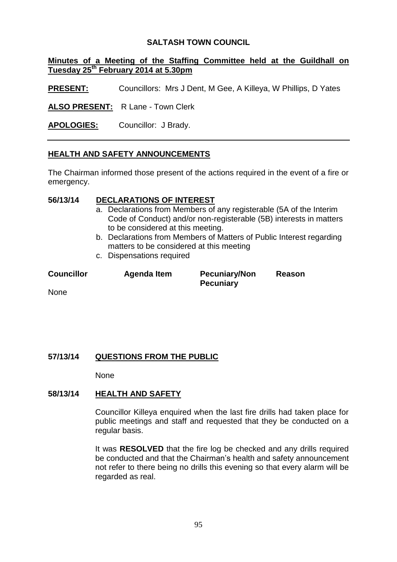### **SALTASH TOWN COUNCIL**

### **Minutes of a Meeting of the Staffing Committee held at the Guildhall on Tuesday 25th February 2014 at 5.30pm**

**PRESENT:** Councillors: Mrs J Dent, M Gee, A Killeya, W Phillips, D Yates

**ALSO PRESENT:** R Lane - Town Clerk

**APOLOGIES:** Councillor: J Brady.

# **HEALTH AND SAFETY ANNOUNCEMENTS**

The Chairman informed those present of the actions required in the event of a fire or emergency.

# **56/13/14 DECLARATIONS OF INTEREST**

- a. Declarations from Members of any registerable (5A of the Interim Code of Conduct) and/or non-registerable (5B) interests in matters to be considered at this meeting.
- b. Declarations from Members of Matters of Public Interest regarding matters to be considered at this meeting
- c. Dispensations required

| <b>Councillor</b> | Agenda Item | <b>Pecuniary/Non</b><br><b>Pecuniary</b> | Reason |
|-------------------|-------------|------------------------------------------|--------|
| <b>Nono</b>       |             |                                          |        |

None

# **57/13/14 QUESTIONS FROM THE PUBLIC**

None

# **58/13/14 HEALTH AND SAFETY**

Councillor Killeya enquired when the last fire drills had taken place for public meetings and staff and requested that they be conducted on a regular basis.

It was **RESOLVED** that the fire log be checked and any drills required be conducted and that the Chairman's health and safety announcement not refer to there being no drills this evening so that every alarm will be regarded as real.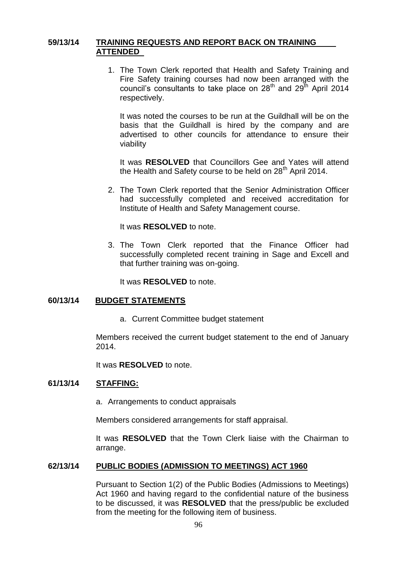### **59/13/14 TRAINING REQUESTS AND REPORT BACK ON TRAINING ATTENDED**

1. The Town Clerk reported that Health and Safety Training and Fire Safety training courses had now been arranged with the council's consultants to take place on  $28<sup>th</sup>$  and  $29<sup>th</sup>$  April 2014 respectively.

It was noted the courses to be run at the Guildhall will be on the basis that the Guildhall is hired by the company and are advertised to other councils for attendance to ensure their viability

It was **RESOLVED** that Councillors Gee and Yates will attend the Health and Safety course to be held on  $28<sup>th</sup>$  April 2014.

2. The Town Clerk reported that the Senior Administration Officer had successfully completed and received accreditation for Institute of Health and Safety Management course.

It was **RESOLVED** to note.

3. The Town Clerk reported that the Finance Officer had successfully completed recent training in Sage and Excell and that further training was on-going.

It was **RESOLVED** to note.

### **60/13/14 BUDGET STATEMENTS**

a. Current Committee budget statement

Members received the current budget statement to the end of January 2014.

It was **RESOLVED** to note.

### **61/13/14 STAFFING:**

a. Arrangements to conduct appraisals

Members considered arrangements for staff appraisal.

It was **RESOLVED** that the Town Clerk liaise with the Chairman to arrange.

### **62/13/14 PUBLIC BODIES (ADMISSION TO MEETINGS) ACT 1960**

Pursuant to Section 1(2) of the Public Bodies (Admissions to Meetings) Act 1960 and having regard to the confidential nature of the business to be discussed, it was **RESOLVED** that the press/public be excluded from the meeting for the following item of business.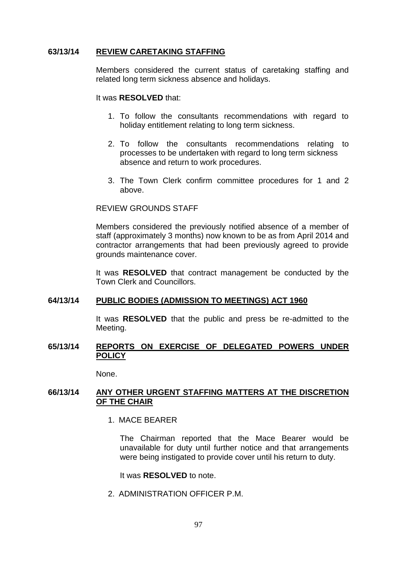#### **63/13/14 REVIEW CARETAKING STAFFING**

Members considered the current status of caretaking staffing and related long term sickness absence and holidays.

It was **RESOLVED** that:

- 1. To follow the consultants recommendations with regard to holiday entitlement relating to long term sickness.
- 2. To follow the consultants recommendations relating to processes to be undertaken with regard to long term sickness absence and return to work procedures.
- 3. The Town Clerk confirm committee procedures for 1 and 2 above.

#### REVIEW GROUNDS STAFF

Members considered the previously notified absence of a member of staff (approximately 3 months) now known to be as from April 2014 and contractor arrangements that had been previously agreed to provide grounds maintenance cover.

It was **RESOLVED** that contract management be conducted by the Town Clerk and Councillors.

#### **64/13/14 PUBLIC BODIES (ADMISSION TO MEETINGS) ACT 1960**

It was **RESOLVED** that the public and press be re-admitted to the Meeting.

#### **65/13/14 REPORTS ON EXERCISE OF DELEGATED POWERS UNDER POLICY**

None.

#### **66/13/14 ANY OTHER URGENT STAFFING MATTERS AT THE DISCRETION OF THE CHAIR**

1. MACE BEARER

The Chairman reported that the Mace Bearer would be unavailable for duty until further notice and that arrangements were being instigated to provide cover until his return to duty.

It was **RESOLVED** to note.

2. ADMINISTRATION OFFICER P.M.